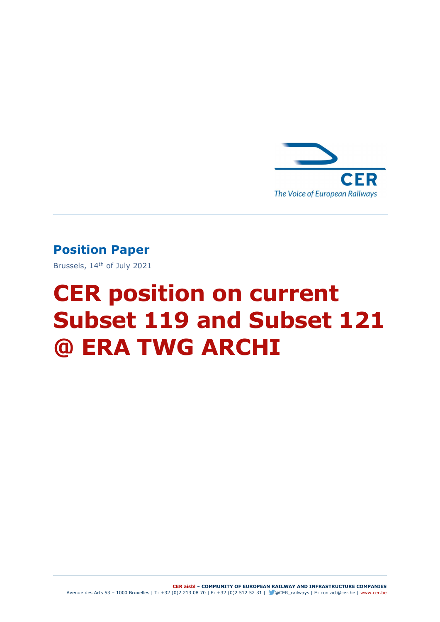

### Position Paper

Brussels, 14th of July 2021

# CER position on current Subset 119 and Subset 121 @ ERA TWG ARCHI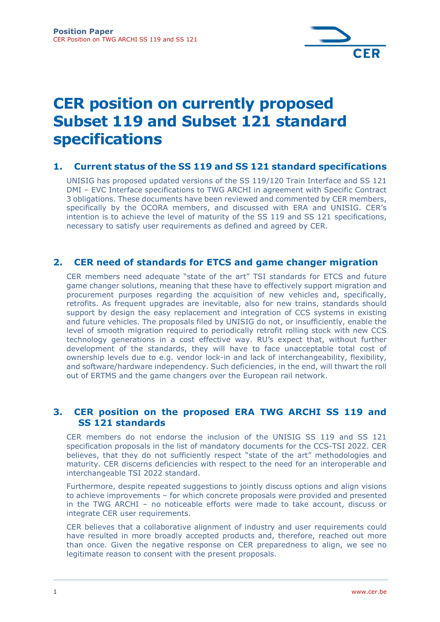

## CER position on currently proposed Subset 119 and Subset 121 standard specifications

#### 1. Current status of the SS 119 and SS 121 standard specifications

UNISIG has proposed updated versions of the SS 119/120 Train Interface and SS 121 DMI – EVC Interface specifications to TWG ARCHI in agreement with Specific Contract 3 obligations. These documents have been reviewed and commented by CER members, specifically by the OCORA members, and discussed with ERA and UNISIG. CER's intention is to achieve the level of maturity of the SS 119 and SS 121 specifications, necessary to satisfy user requirements as defined and agreed by CER.

#### 2. CER need of standards for ETCS and game changer migration

CER members need adequate "state of the art" TSI standards for ETCS and future game changer solutions, meaning that these have to effectively support migration and procurement purposes regarding the acquisition of new vehicles and, specifically, retrofits. As frequent upgrades are inevitable, also for new trains, standards should support by design the easy replacement and integration of CCS systems in existing and future vehicles. The proposals filed by UNISIG do not, or insufficiently, enable the level of smooth migration required to periodically retrofit rolling stock with new CCS technology generations in a cost effective way. RU's expect that, without further development of the standards, they will have to face unacceptable total cost of ownership levels due to e.g. vendor lock-in and lack of interchangeability, flexibility, and software/hardware independency. Such deficiencies, in the end, will thwart the roll out of ERTMS and the game changers over the European rail network.

#### 3. CER position on the proposed ERA TWG ARCHI SS 119 and SS 121 standards

CER members do not endorse the inclusion of the UNISIG SS 119 and SS 121 specification proposals in the list of mandatory documents for the CCS-TSI 2022. CER believes, that they do not sufficiently respect "state of the art" methodologies and maturity. CER discerns deficiencies with respect to the need for an interoperable and interchangeable TSI 2022 standard.

Furthermore, despite repeated suggestions to jointly discuss options and align visions to achieve improvements – for which concrete proposals were provided and presented in the TWG ARCHI – no noticeable efforts were made to take account, discuss or integrate CER user requirements.

CER believes that a collaborative alignment of industry and user requirements could have resulted in more broadly accepted products and, therefore, reached out more than once. Given the negative response on CER preparedness to align, we see no legitimate reason to consent with the present proposals.